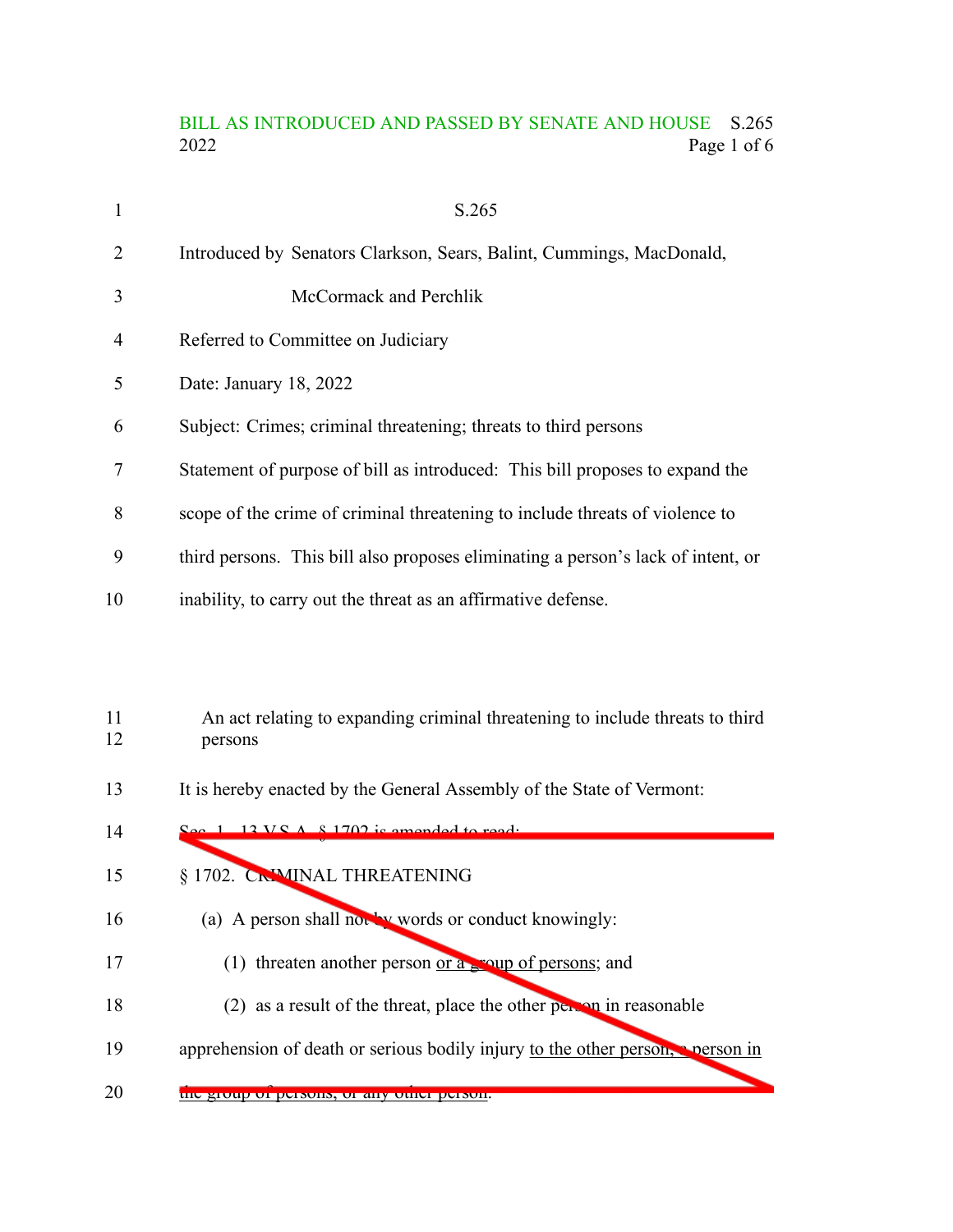## BILL AS INTRODUCED AND PASSED BY SENATE AND HOUSE S.265 2022 Page 1 of 6

|    | S.265                                                                            |
|----|----------------------------------------------------------------------------------|
| 2  | Introduced by Senators Clarkson, Sears, Balint, Cummings, MacDonald,             |
| 3  | McCormack and Perchlik                                                           |
| 4  | Referred to Committee on Judiciary                                               |
| 5  | Date: January 18, 2022                                                           |
| 6  | Subject: Crimes; criminal threatening; threats to third persons                  |
| 7  | Statement of purpose of bill as introduced: This bill proposes to expand the     |
| 8  | scope of the crime of criminal threatening to include threats of violence to     |
| 9  | third persons. This bill also proposes eliminating a person's lack of intent, or |
| 10 | inability, to carry out the threat as an affirmative defense.                    |

## An act relating to expanding criminal threatening to include threats to third persons 11 12

It is hereby enacted by the General Assembly of the State of Vermont: 13

| 14 | $\Omega_{\text{QCD}}$ 1 12 V $\Omega$ $\Lambda$ $\Omega$ 1702 is amended to read. |
|----|-----------------------------------------------------------------------------------|
| 15 | § 1702. CRIMINAL THREATENING                                                      |
| 16 | (a) A person shall not by words or conduct knowingly:                             |
| 17 | threaten another person or a scoup of persons; and<br>(1)                         |
| 18 | (2) as a result of the threat, place the other person in reasonable               |
| 19 | apprehension of death or serious bodily injury to the other person, person in     |
| 20 | the group of persons, or any other person.                                        |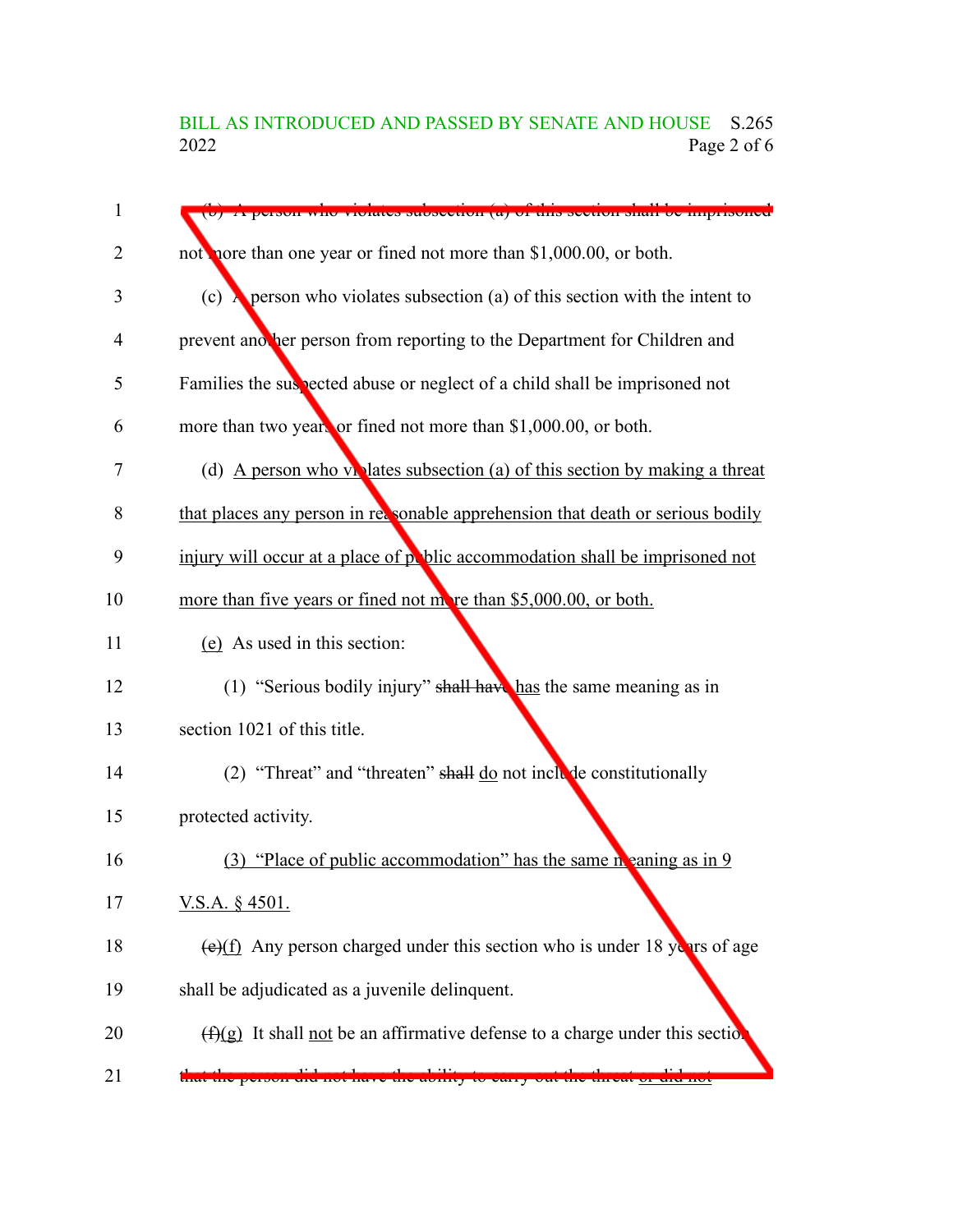## BILL AS INTRODUCED AND PASSED BY SENATE AND HOUSE S.265<br>2022 Page 2 of 6 Page 2 of 6

| 1  | A person via violates subsection (a) of this section shall be imprisoned                      |
|----|-----------------------------------------------------------------------------------------------|
| 2  | not nore than one year or fined not more than \$1,000.00, or both.                            |
| 3  | (c) <b>A</b> person who violates subsection (a) of this section with the intent to            |
| 4  | prevent another person from reporting to the Department for Children and                      |
| 5  | Families the suspected abuse or neglect of a child shall be imprisoned not                    |
| 6  | more than two years or fined not more than \$1,000.00, or both.                               |
| 7  | (d) A person who violates subsection (a) of this section by making a threat                   |
| 8  | that places any person in reasonable apprehension that death or serious bodily                |
| 9  | injury will occur at a place of p blic accommodation shall be imprisoned not                  |
| 10 | more than five years or fined not more than \$5,000.00, or both.                              |
| 11 | (e) As used in this section:                                                                  |
| 12 | (1) "Serious bodily injury" shall have has the same meaning as in                             |
| 13 | section 1021 of this title.                                                                   |
| 14 | (2) "Threat" and "threaten" shall do not include constitutionally                             |
| 15 | protected activity.                                                                           |
| 16 | (3) "Place of public accommodation" has the same neaning as in $9$                            |
| 17 | V.S.A. $\S$ 4501.                                                                             |
| 18 | $\left(\frac{e}{f}\right)$ Any person charged under this section who is under 18 years of age |
| 19 | shall be adjudicated as a juvenile delinquent.                                                |
| 20 | $(f)(g)$ It shall not be an affirmative defense to a charge under this section                |
| 21 | that the person and hot have the active to early out the threat of and hot                    |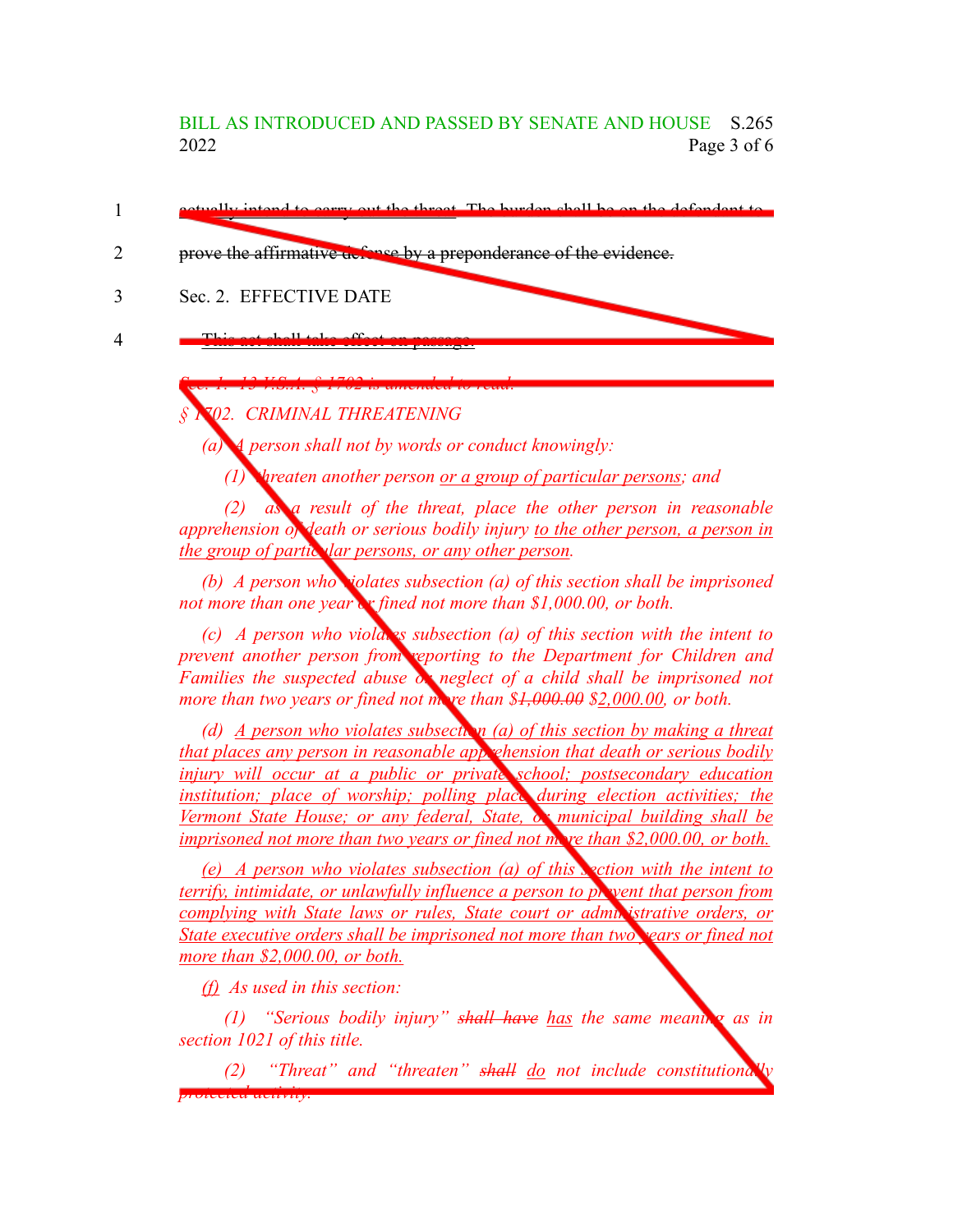BILL AS INTRODUCED AND PASSED BY SENATE AND HOUSE S.265 2022 Page 3 of 6

- carry out the threat. The burden shall be on the defen 1
- prove the affirmative defense by a preponderance of the evidence. 2

Sec. 2. EFFECTIVE DATE 3

This act shall take effect on passage. 4

*§ 1702. CRIMINAL THREATENING*

*Sec. 1. 13 V.S.A. § 1702 is amended to read:*

*(a) A person shall not by words or conduct knowingly:*

*(1) threaten another person or a group of particular persons; and*

*(2) as a result of the threat, place the other person in reasonable apprehension of death or serious bodily injury to the other person, a person in the* group of particular persons, or any other person.

*(b) A person who violates subsection (a) of this section shall be imprisoned not more than one year or fined not more than \$1,000.00, or both.*

*(c) A person who violates subsection (a) of this section with the intent to prevent another person from reporting to the Department for Children and Families the suspected abuse or neglect of a child shall be imprisoned not more than two years or fined not more than \$1,000.00 \$2,000.00, or both.*

*(d) A person who violates subsection (a) of this section by making a threat that places any person in reasonable apprehension that death or serious bodily injury will occur at a public or private school; postsecondary education institution; place of worship; polling place during election activities; the Vermont State House; or any federal, State, or municipal building shall be imprisoned not more than two years or fined not more than \$2,000.00, or both.*

*(e) A person who violates subsection (a) of this section with the intent to terrify, intimidate, or unlawfully influence a person to prevent that person from complying with State laws or rules, State court or administrative orders, or State executive orders shall be imprisoned not more than two years or fined not more than \$2,000.00, or both.*

*(f) As used in this section:*

*(1) "Serious bodily injury" shall have has the same meaning as in section 1021 of this title.*

*(2) "Threat" and "threaten" shall do not include constitutionally protected activity.*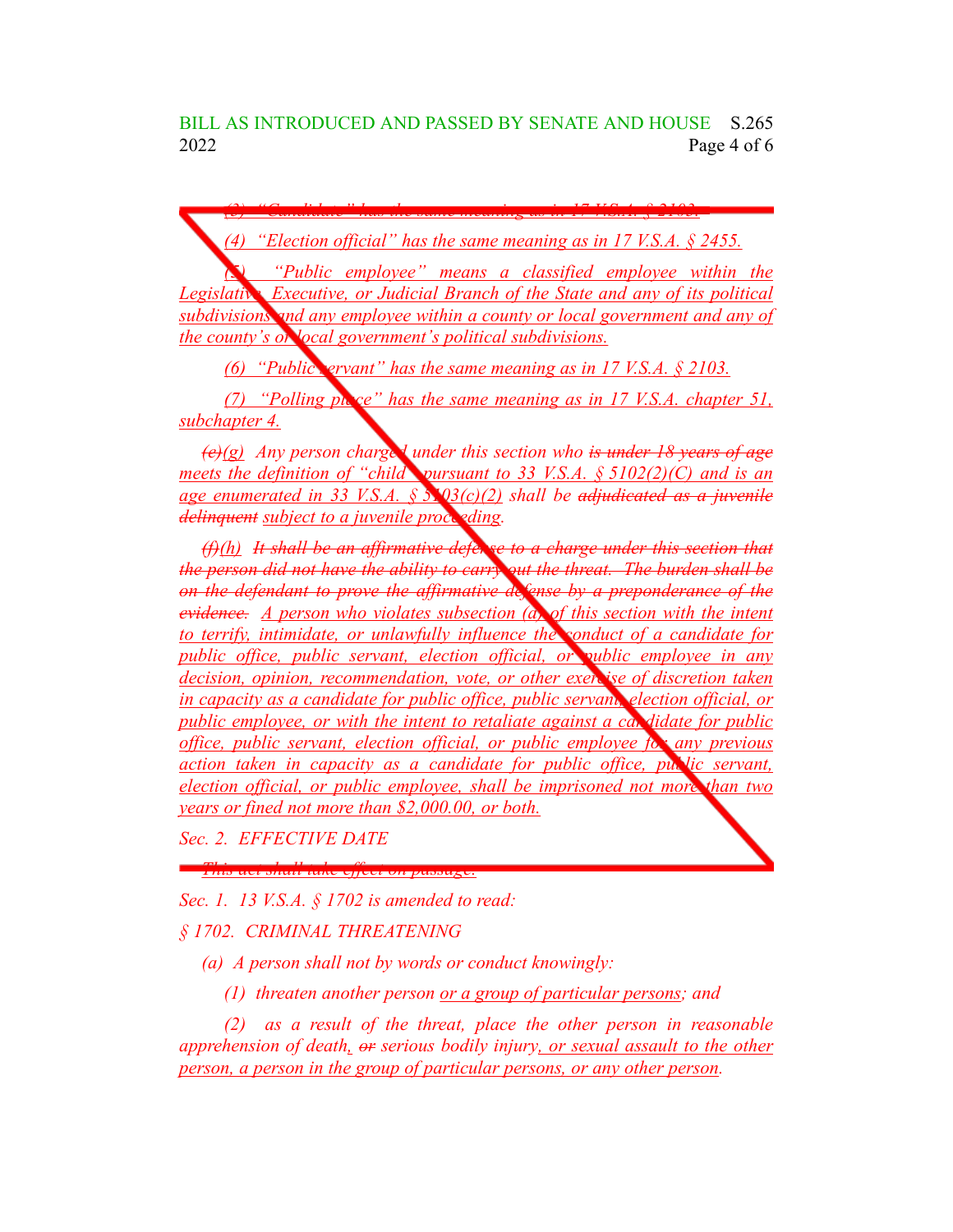*(3) "Candidate" has the same meaning as in 17 V.S.A. § 2103.*

*(4) "Election official" has the same meaning as in 17 V.S.A. § 2455.*

*(5) "Public employee" means a classified employee within the Legislative, Executive, or Judicial Branch of the State and any of its political subdivisions and any employee within a county or local government and any of the county's or local government's political subdivisions.*

*(6) "Public servant" has the same meaning as in 17 V.S.A. § 2103.*

*(7) "Polling place" has the same meaning as in 17 V.S.A. chapter 51, subchapter 4.*

*(e)(g) Any person charged under this section who is under 18 years of age meets the definition of "child" pursuant to 33 V.S.A. § 5102(2)(C) and is an age enumerated in 33 V.S.A. § 5103(c)(2) shall be adjudicated as a juvenile delinquent subject to a juvenile proceeding.* 

*(f)(h) It shall be an affirmative defense to a charge under this section that the person did not have the ability to carry out the threat. The burden shall be on the defendant to prove the affirmative defense by a preponderance of the evidence. A person who violates subsection (a) of this section with the intent to terrify, intimidate, or unlawfully influence the conduct of a candidate for public office, public servant, election official, or public employee in any decision, opinion, recommendation, vote, or other exercise of discretion taken in capacity as a candidate for public office, public servant, election official, or public employee, or with the intent to retaliate against a candidate for public office, public servant, election official, or public employee for any previous action taken in capacity as a candidate for public office, public servant, election official, or public employee, shall be imprisoned not more than two years or fined not more than \$2,000.00, or both.*

*Sec. 2. EFFECTIVE DATE*

*This act shall take effect on passage.*

*Sec. 1. 13 V.S.A. § 1702 is amended to read:*

*§ 1702. CRIMINAL THREATENING*

*(a) A person shall not by words or conduct knowingly:*

*(1) threaten another person or a group of particular persons; and*

*(2) as a result of the threat, place the other person in reasonable apprehension of death, or serious bodily injury, or sexual assault to the other person, a person in the group of particular persons, or any other person.*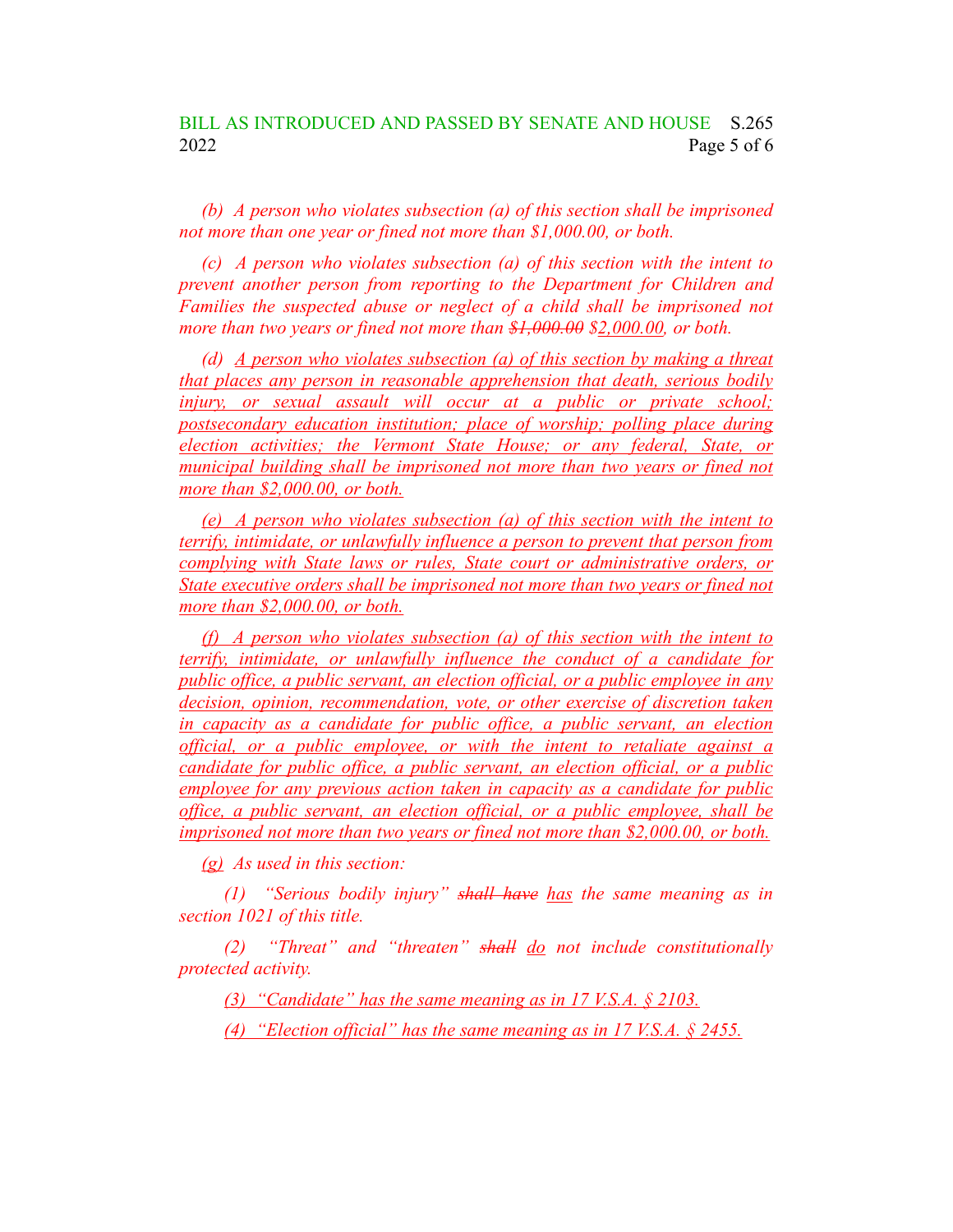*(b) A person who violates subsection (a) of this section shall be imprisoned not more than one year or fined not more than \$1,000.00, or both.*

*(c) A person who violates subsection (a) of this section with the intent to prevent another person from reporting to the Department for Children and Families the suspected abuse or neglect of a child shall be imprisoned not more than two years or fined not more than \$1,000.00 \$2,000.00, or both.*

*(d) A person who violates subsection (a) of this section by making a threat that places any person in reasonable apprehension that death, serious bodily injury, or sexual assault will occur at a public or private school; postsecondary education institution; place of worship; polling place during election activities; the Vermont State House; or any federal, State, or municipal building shall be imprisoned not more than two years or fined not more than \$2,000.00, or both.*

*(e) A person who violates subsection (a) of this section with the intent to terrify, intimidate, or unlawfully influence a person to prevent that person from complying with State laws or rules, State court or administrative orders, or State executive orders shall be imprisoned not more than two years or fined not more than \$2,000.00, or both.*

*(f) A person who violates subsection (a) of this section with the intent to terrify, intimidate, or unlawfully influence the conduct of a candidate for public office, a public servant, an election official, or a public employee in any decision, opinion, recommendation, vote, or other exercise of discretion taken in capacity as a candidate for public office, a public servant, an election official, or a public employee, or with the intent to retaliate against a candidate for public office, a public servant, an election official, or a public employee for any previous action taken in capacity as a candidate for public office, a public servant, an election official, or a public employee, shall be imprisoned not more than two years or fined not more than \$2,000.00, or both.*

*(g) As used in this section:*

*(1) "Serious bodily injury" shall have has the same meaning as in section 1021 of this title.*

*(2) "Threat" and "threaten" shall do not include constitutionally protected activity.*

*(3) "Candidate" has the same meaning as in 17 V.S.A. § 2103.*

*(4) "Election official" has the same meaning as in 17 V.S.A. § 2455.*